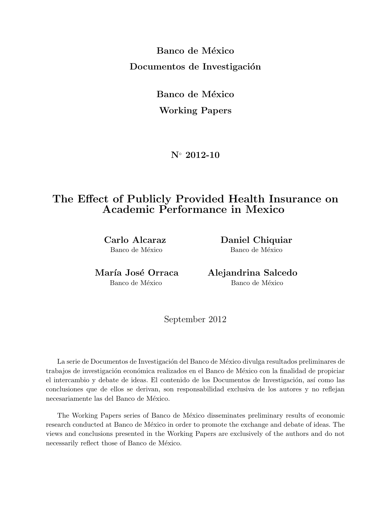**Banco de México Documentos de Investigación** 

> **Banco de México Working Papers**

> > **N***◦* **2012-10**

# **The Effect of Publicly Provided Health Insurance on Academic Performance in Mexico**

**Carlo Alcaraz Daniel Chiquiar** Banco de México Banco de México

**Mar´ıa Jos´e Orraca Alejandrina Salcedo** Banco de México Banco de México

September 2012

La serie de Documentos de Investigación del Banco de México divulga resultados preliminares de trabajos de investigación económica realizados en el Banco de México con la finalidad de propiciar el intercambio y debate de ideas. El contenido de los Documentos de Investigación, así como las conclusiones que de ellos se derivan, son responsabilidad exclusiva de los autores y no reflejan necesariamente las del Banco de México.

The Working Papers series of Banco de México disseminates preliminary results of economic research conducted at Banco de México in order to promote the exchange and debate of ideas. The views and conclusions presented in the Working Papers are exclusively of the authors and do not necessarily reflect those of Banco de México.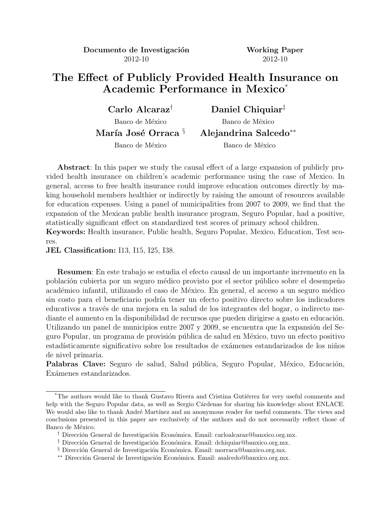**Documento de Investigación Working Paper** 2012-10 2012-10

# **The Effect of Publicly Provided Health Insurance on Academic Performance in Mexico**\*

Banco de México Banco de México

**Carlo Alcaraz***†* **Daniel Chiquiar***‡*

**Mar´ıa Jos´e Orraca** *§* **Alejandrina Salcedo***∗∗*

Banco de México Banco de México

**Abstract**: In this paper we study the causal effect of a large expansion of publicly provided health insurance on children's academic performance using the case of Mexico. In general, access to free health insurance could improve education outcomes directly by making household members healthier or indirectly by raising the amount of resources available for education expenses. Using a panel of municipalities from 2007 to 2009, we find that the expansion of the Mexican public health insurance program, Seguro Popular, had a positive, statistically significant effect on standardized test scores of primary school children. **Keywords:** Health insurance, Public health, Seguro Popular, Mexico, Education, Test sco-

res.

**JEL Classification:** I13, I15, I25, I38.

**Resumen**: En este trabajo se estudia el efecto causal de un importante incremento en la población cubierta por un seguro médico provisto por el sector público sobre el desempeño académico infantil, utilizando el caso de México. En general, el acceso a un seguro médico sin costo para el beneficiario podría tener un efecto positivo directo sobre los indicadores educativos a través de una mejora en la salud de los integrantes del hogar, o indirecto mediante el aumento en la disponibilidad de recursos que pueden dirigirse a gasto en educación. Utilizando un panel de municipios entre 2007 y 2009, se encuentra que la expansión del Seguro Popular, un programa de provisión pública de salud en México, tuvo un efecto positivo estadísticamente significativo sobre los resultados de exámenes estandarizados de los niños de nivel primaria.

Palabras Clave: Seguro de salud, Salud pública, Seguro Popular, México, Educación, Exámenes estandarizados.

<sup>&</sup>lt;sup>\*</sup>The authors would like to thank Gustavo Rivera and Cristina Gutiérrez for very useful comments and help with the Seguro Popular data, as well as Sergio Cárdenas for sharing his knowledge about ENLACE. We would also like to thank André Martínez and an anonymous reader for useful comments. The views and conclusions presented in this paper are exclusively of the authors and do not necessarily reflect those of Banco de México.

<sup>&</sup>lt;sup>†</sup> Dirección General de Investigación Económica. Email: carloalcaraz@banxico.org.mx.

<sup>&</sup>lt;sup>‡</sup> Dirección General de Investigación Económica. Email: dchiquiar@banxico.org.mx.

<sup>§</sup> Dirección General de Investigación Económica. Email: morraca@banxico.org.mx.

*<sup>\*\*</sup>* Dirección General de Investigación Económica. Email: asalcedo@banxico.org.mx.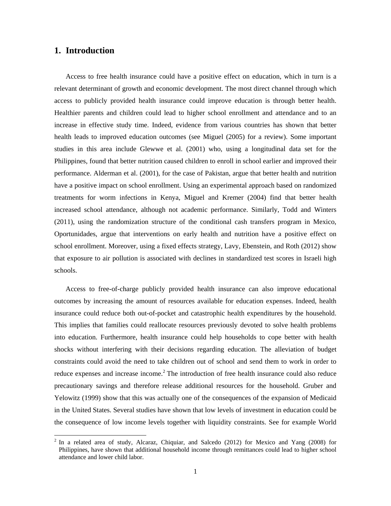## **1. Introduction**

-

Access to free health insurance could have a positive effect on education, which in turn is a relevant determinant of growth and economic development. The most direct channel through which access to publicly provided health insurance could improve education is through better health. Healthier parents and children could lead to higher school enrollment and attendance and to an increase in effective study time. Indeed, evidence from various countries has shown that better health leads to improved education outcomes (see Miguel (2005) for a review). Some important studies in this area include Glewwe et al. (2001) who, using a longitudinal data set for the Philippines, found that better nutrition caused children to enroll in school earlier and improved their performance. Alderman et al. (2001), for the case of Pakistan, argue that better health and nutrition have a positive impact on school enrollment. Using an experimental approach based on randomized treatments for worm infections in Kenya, Miguel and Kremer (2004) find that better health increased school attendance, although not academic performance. Similarly, Todd and Winters (2011), using the randomization structure of the conditional cash transfers program in Mexico, Oportunidades, argue that interventions on early health and nutrition have a positive effect on school enrollment. Moreover, using a fixed effects strategy, Lavy, Ebenstein, and Roth (2012) show that exposure to air pollution is associated with declines in standardized test scores in Israeli high schools.

Access to free-of-charge publicly provided health insurance can also improve educational outcomes by increasing the amount of resources available for education expenses. Indeed, health insurance could reduce both out-of-pocket and catastrophic health expenditures by the household. This implies that families could reallocate resources previously devoted to solve health problems into education. Furthermore, health insurance could help households to cope better with health shocks without interfering with their decisions regarding education. The alleviation of budget constraints could avoid the need to take children out of school and send them to work in order to reduce expenses and increase income.<sup>2</sup> The introduction of free health insurance could also reduce precautionary savings and therefore release additional resources for the household. Gruber and Yelowitz (1999) show that this was actually one of the consequences of the expansion of Medicaid in the United States. Several studies have shown that low levels of investment in education could be the consequence of low income levels together with liquidity constraints. See for example World

 $2$  In a related area of study, Alcaraz, Chiquiar, and Salcedo (2012) for Mexico and Yang (2008) for Philippines, have shown that additional household income through remittances could lead to higher school attendance and lower child labor.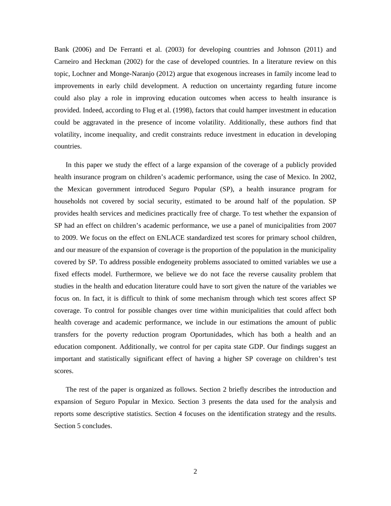Bank (2006) and De Ferranti et al. (2003) for developing countries and Johnson (2011) and Carneiro and Heckman (2002) for the case of developed countries. In a literature review on this topic, Lochner and Monge-Naranjo (2012) argue that exogenous increases in family income lead to improvements in early child development. A reduction on uncertainty regarding future income could also play a role in improving education outcomes when access to health insurance is provided. Indeed, according to Flug et al. (1998), factors that could hamper investment in education could be aggravated in the presence of income volatility. Additionally, these authors find that volatility, income inequality, and credit constraints reduce investment in education in developing countries.

In this paper we study the effect of a large expansion of the coverage of a publicly provided health insurance program on children's academic performance, using the case of Mexico. In 2002, the Mexican government introduced Seguro Popular (SP), a health insurance program for households not covered by social security, estimated to be around half of the population. SP provides health services and medicines practically free of charge. To test whether the expansion of SP had an effect on children's academic performance, we use a panel of municipalities from 2007 to 2009. We focus on the effect on ENLACE standardized test scores for primary school children, and our measure of the expansion of coverage is the proportion of the population in the municipality covered by SP. To address possible endogeneity problems associated to omitted variables we use a fixed effects model. Furthermore, we believe we do not face the reverse causality problem that studies in the health and education literature could have to sort given the nature of the variables we focus on. In fact, it is difficult to think of some mechanism through which test scores affect SP coverage. To control for possible changes over time within municipalities that could affect both health coverage and academic performance, we include in our estimations the amount of public transfers for the poverty reduction program Oportunidades, which has both a health and an education component. Additionally, we control for per capita state GDP. Our findings suggest an important and statistically significant effect of having a higher SP coverage on children's test scores.

The rest of the paper is organized as follows. Section 2 briefly describes the introduction and expansion of Seguro Popular in Mexico. Section 3 presents the data used for the analysis and reports some descriptive statistics. Section 4 focuses on the identification strategy and the results. Section 5 concludes.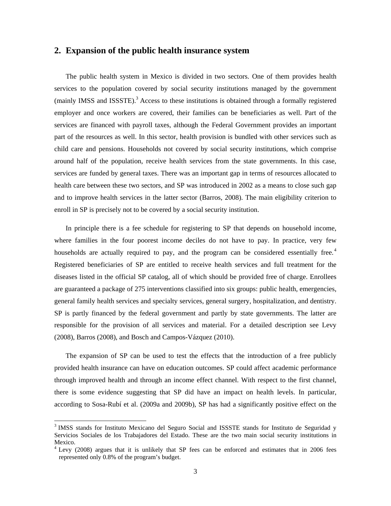#### **2. Expansion of the public health insurance system**

The public health system in Mexico is divided in two sectors. One of them provides health services to the population covered by social security institutions managed by the government (mainly IMSS and ISSSTE).<sup>3</sup> Access to these institutions is obtained through a formally registered employer and once workers are covered, their families can be beneficiaries as well. Part of the services are financed with payroll taxes, although the Federal Government provides an important part of the resources as well. In this sector, health provision is bundled with other services such as child care and pensions. Households not covered by social security institutions, which comprise around half of the population, receive health services from the state governments. In this case, services are funded by general taxes. There was an important gap in terms of resources allocated to health care between these two sectors, and SP was introduced in 2002 as a means to close such gap and to improve health services in the latter sector (Barros, 2008). The main eligibility criterion to enroll in SP is precisely not to be covered by a social security institution.

In principle there is a fee schedule for registering to SP that depends on household income, where families in the four poorest income deciles do not have to pay. In practice, very few households are actually required to pay, and the program can be considered essentially free.<sup>4</sup> Registered beneficiaries of SP are entitled to receive health services and full treatment for the diseases listed in the official SP catalog, all of which should be provided free of charge. Enrollees are guaranteed a package of 275 interventions classified into six groups: public health, emergencies, general family health services and specialty services, general surgery, hospitalization, and dentistry. SP is partly financed by the federal government and partly by state governments. The latter are responsible for the provision of all services and material. For a detailed description see Levy (2008), Barros (2008), and Bosch and Campos-Vázquez (2010).

The expansion of SP can be used to test the effects that the introduction of a free publicly provided health insurance can have on education outcomes. SP could affect academic performance through improved health and through an income effect channel. With respect to the first channel, there is some evidence suggesting that SP did have an impact on health levels. In particular, according to Sosa-Rubí et al. (2009a and 2009b), SP has had a significantly positive effect on the

<sup>&</sup>lt;sup>3</sup> IMSS stands for Instituto Mexicano del Seguro Social and ISSSTE stands for Instituto de Seguridad y Servicios Sociales de los Trabajadores del Estado. These are the two main social security institutions in Mexico.

<sup>&</sup>lt;sup>4</sup> Levy (2008) argues that it is unlikely that SP fees can be enforced and estimates that in 2006 fees represented only 0.8% of the program's budget.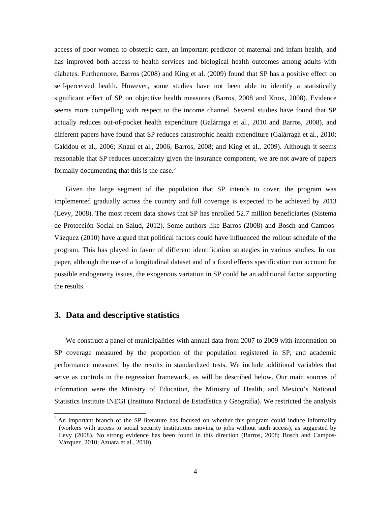access of poor women to obstetric care, an important predictor of maternal and infant health, and has improved both access to health services and biological health outcomes among adults with diabetes. Furthermore, Barros (2008) and King et al. (2009) found that SP has a positive effect on self-perceived health. However, some studies have not been able to identify a statistically significant effect of SP on objective health measures (Barros, 2008 and Knox, 2008). Evidence seems more compelling with respect to the income channel. Several studies have found that SP actually reduces out-of-pocket health expenditure (Galárraga et al., 2010 and Barros, 2008), and different papers have found that SP reduces catastrophic health expenditure (Galárraga et al., 2010; Gakidou et al., 2006; Knaul et al., 2006; Barros, 2008; and King et al., 2009). Although it seems reasonable that SP reduces uncertainty given the insurance component, we are not aware of papers formally documenting that this is the case.<sup>5</sup>

Given the large segment of the population that SP intends to cover, the program was implemented gradually across the country and full coverage is expected to be achieved by 2013 (Levy, 2008). The most recent data shows that SP has enrolled 52.7 million beneficiaries (Sistema de Protección Social en Salud, 2012). Some authors like Barros (2008) and Bosch and Campos-Vázquez (2010) have argued that political factors could have influenced the rollout schedule of the program. This has played in favor of different identification strategies in various studies. In our paper, although the use of a longitudinal dataset and of a fixed effects specification can account for possible endogeneity issues, the exogenous variation in SP could be an additional factor supporting the results.

### **3. Data and descriptive statistics**

-

We construct a panel of municipalities with annual data from 2007 to 2009 with information on SP coverage measured by the proportion of the population registered in SP, and academic performance measured by the results in standardized tests. We include additional variables that serve as controls in the regression framework, as will be described below. Our main sources of information were the Ministry of Education, the Ministry of Health, and Mexico's National Statistics Institute INEGI (Instituto Nacional de Estadística y Geografía). We restricted the analysis

 $<sup>5</sup>$  An important branch of the SP literature has focused on whether this program could induce informality</sup> (workers with access to social security institutions moving to jobs without such access), as suggested by Levy (2008). No strong evidence has been found in this direction (Barros, 2008; Bosch and Campos-Vázquez, 2010; Azuara et al., 2010).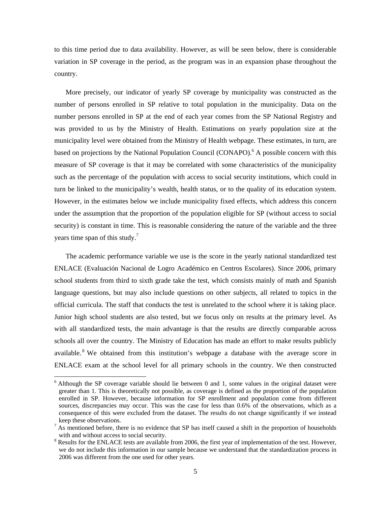to this time period due to data availability. However, as will be seen below, there is considerable variation in SP coverage in the period, as the program was in an expansion phase throughout the country.

More precisely, our indicator of yearly SP coverage by municipality was constructed as the number of persons enrolled in SP relative to total population in the municipality. Data on the number persons enrolled in SP at the end of each year comes from the SP National Registry and was provided to us by the Ministry of Health. Estimations on yearly population size at the municipality level were obtained from the Ministry of Health webpage. These estimates, in turn, are based on projections by the National Population Council (CONAPO).<sup>6</sup> A possible concern with this measure of SP coverage is that it may be correlated with some characteristics of the municipality such as the percentage of the population with access to social security institutions, which could in turn be linked to the municipality's wealth, health status, or to the quality of its education system. However, in the estimates below we include municipality fixed effects, which address this concern under the assumption that the proportion of the population eligible for SP (without access to social security) is constant in time. This is reasonable considering the nature of the variable and the three years time span of this study.<sup>7</sup>

The academic performance variable we use is the score in the yearly national standardized test ENLACE (Evaluación Nacional de Logro Académico en Centros Escolares). Since 2006, primary school students from third to sixth grade take the test, which consists mainly of math and Spanish language questions, but may also include questions on other subjects, all related to topics in the official curricula. The staff that conducts the test is unrelated to the school where it is taking place. Junior high school students are also tested, but we focus only on results at the primary level. As with all standardized tests, the main advantage is that the results are directly comparable across schools all over the country. The Ministry of Education has made an effort to make results publicly available. <sup>8</sup> We obtained from this institution's webpage a database with the average score in ENLACE exam at the school level for all primary schools in the country. We then constructed

 $6$  Although the SP coverage variable should lie between 0 and 1, some values in the original dataset were greater than 1. This is theoretically not possible, as coverage is defined as the proportion of the population enrolled in SP. However, because information for SP enrollment and population come from different sources, discrepancies may occur. This was the case for less than 0.6% of the observations, which as a consequence of this were excluded from the dataset. The results do not change significantly if we instead keep these observations.<br><sup>7</sup> As mentioned before, there is no evidence that SP has itself caused a shift in the proportion of households

with and without access to social security.

 $8$  Results for the ENLACE tests are available from 2006, the first year of implementation of the test. However, we do not include this information in our sample because we understand that the standardization process in 2006 was different from the one used for other years.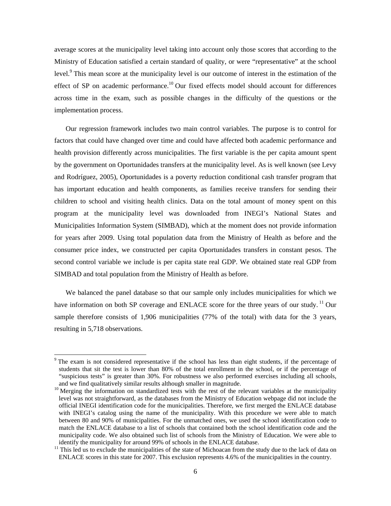average scores at the municipality level taking into account only those scores that according to the Ministry of Education satisfied a certain standard of quality, or were "representative" at the school level.<sup>9</sup> This mean score at the municipality level is our outcome of interest in the estimation of the effect of SP on academic performance.<sup>10</sup> Our fixed effects model should account for differences across time in the exam, such as possible changes in the difficulty of the questions or the implementation process.

Our regression framework includes two main control variables. The purpose is to control for factors that could have changed over time and could have affected both academic performance and health provision differently across municipalities. The first variable is the per capita amount spent by the government on Oportunidades transfers at the municipality level. As is well known (see Levy and Rodríguez, 2005), Oportunidades is a poverty reduction conditional cash transfer program that has important education and health components, as families receive transfers for sending their children to school and visiting health clinics. Data on the total amount of money spent on this program at the municipality level was downloaded from INEGI's National States and Municipalities Information System (SIMBAD), which at the moment does not provide information for years after 2009. Using total population data from the Ministry of Health as before and the consumer price index, we constructed per capita Oportunidades transfers in constant pesos. The second control variable we include is per capita state real GDP. We obtained state real GDP from SIMBAD and total population from the Ministry of Health as before.

We balanced the panel database so that our sample only includes municipalities for which we have information on both SP coverage and ENLACE score for the three years of our study.<sup>11</sup> Our sample therefore consists of 1,906 municipalities (77% of the total) with data for the 3 years, resulting in 5,718 observations.

<sup>&</sup>lt;sup>9</sup> The exam is not considered representative if the school has less than eight students, if the percentage of students that sit the test is lower than 80% of the total enrollment in the school, or if the percentage of "suspicious tests" is greater than 30%. For robustness we also performed exercises including all schools,

and we find qualitatively similar results although smaller in magnitude.<br><sup>10</sup> Merging the information on standardized tests with the rest of the relevant variables at the municipality level was not straightforward, as the databases from the Ministry of Education webpage did not include the official INEGI identification code for the municipalities. Therefore, we first merged the ENLACE database with INEGI's catalog using the name of the municipality. With this procedure we were able to match between 80 and 90% of municipalities. For the unmatched ones, we used the school identification code to match the ENLACE database to a list of schools that contained both the school identification code and the municipality code. We also obtained such list of schools from the Ministry of Education. We were able to identify the municipality for around 99% of schools in the ENLACE database.

 $11$  This led us to exclude the municipalities of the state of Michoacan from the study due to the lack of data on ENLACE scores in this state for 2007. This exclusion represents 4.6% of the municipalities in the country.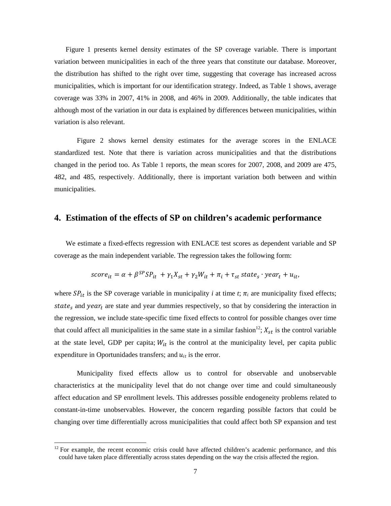Figure 1 presents kernel density estimates of the SP coverage variable. There is important variation between municipalities in each of the three years that constitute our database. Moreover, the distribution has shifted to the right over time, suggesting that coverage has increased across municipalities, which is important for our identification strategy. Indeed, as Table 1 shows, average coverage was 33% in 2007, 41% in 2008, and 46% in 2009. Additionally, the table indicates that although most of the variation in our data is explained by differences between municipalities, within variation is also relevant.

Figure 2 shows kernel density estimates for the average scores in the ENLACE standardized test. Note that there is variation across municipalities and that the distributions changed in the period too. As Table 1 reports, the mean scores for 2007, 2008, and 2009 are 475, 482, and 485, respectively. Additionally, there is important variation both between and within municipalities.

#### **4. Estimation of the effects of SP on children's academic performance**

We estimate a fixed-effects regression with ENLACE test scores as dependent variable and SP coverage as the main independent variable. The regression takes the following form:

$$
score_{it} = \alpha + \beta^{SP} SP_{it} + \gamma_1 X_{st} + \gamma_2 W_{it} + \pi_i + \tau_{st} state_s \cdot year_t + u_{it},
$$

where  $SP_{it}$  is the SP coverage variable in municipality *i* at time *t*;  $\pi_i$  are municipality fixed effects; state<sub>s</sub> and year<sub>t</sub> are state and year dummies respectively, so that by considering the interaction in the regression, we include state-specific time fixed effects to control for possible changes over time that could affect all municipalities in the same state in a similar fashion<sup>12</sup>;  $X_{st}$  is the control variable at the state level, GDP per capita;  $W_{it}$  is the control at the municipality level, per capita public expenditure in Oportunidades transfers; and  $u_{it}$  is the error.

 Municipality fixed effects allow us to control for observable and unobservable characteristics at the municipality level that do not change over time and could simultaneously affect education and SP enrollment levels. This addresses possible endogeneity problems related to constant-in-time unobservables. However, the concern regarding possible factors that could be changing over time differentially across municipalities that could affect both SP expansion and test

 $12$  For example, the recent economic crisis could have affected children's academic performance, and this could have taken place differentially across states depending on the way the crisis affected the region.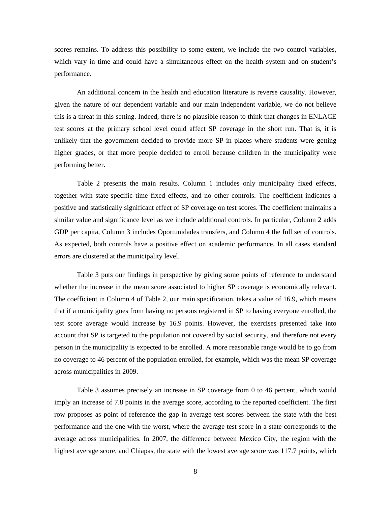scores remains. To address this possibility to some extent, we include the two control variables, which vary in time and could have a simultaneous effect on the health system and on student's performance.

An additional concern in the health and education literature is reverse causality. However, given the nature of our dependent variable and our main independent variable, we do not believe this is a threat in this setting. Indeed, there is no plausible reason to think that changes in ENLACE test scores at the primary school level could affect SP coverage in the short run. That is, it is unlikely that the government decided to provide more SP in places where students were getting higher grades, or that more people decided to enroll because children in the municipality were performing better.

Table 2 presents the main results. Column 1 includes only municipality fixed effects, together with state-specific time fixed effects, and no other controls. The coefficient indicates a positive and statistically significant effect of SP coverage on test scores. The coefficient maintains a similar value and significance level as we include additional controls. In particular, Column 2 adds GDP per capita, Column 3 includes Oportunidades transfers, and Column 4 the full set of controls. As expected, both controls have a positive effect on academic performance. In all cases standard errors are clustered at the municipality level.

Table 3 puts our findings in perspective by giving some points of reference to understand whether the increase in the mean score associated to higher SP coverage is economically relevant. The coefficient in Column 4 of Table 2, our main specification, takes a value of 16.9, which means that if a municipality goes from having no persons registered in SP to having everyone enrolled, the test score average would increase by 16.9 points. However, the exercises presented take into account that SP is targeted to the population not covered by social security, and therefore not every person in the municipality is expected to be enrolled. A more reasonable range would be to go from no coverage to 46 percent of the population enrolled, for example, which was the mean SP coverage across municipalities in 2009.

Table 3 assumes precisely an increase in SP coverage from 0 to 46 percent, which would imply an increase of 7.8 points in the average score, according to the reported coefficient. The first row proposes as point of reference the gap in average test scores between the state with the best performance and the one with the worst, where the average test score in a state corresponds to the average across municipalities. In 2007, the difference between Mexico City, the region with the highest average score, and Chiapas, the state with the lowest average score was 117.7 points, which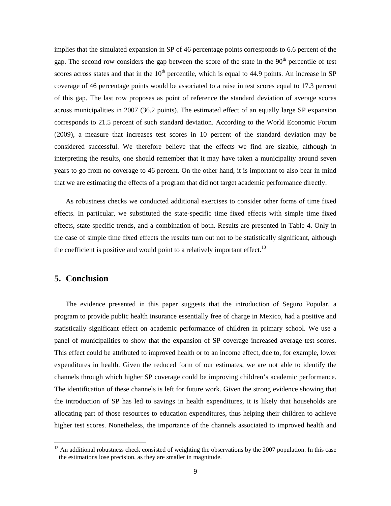implies that the simulated expansion in SP of 46 percentage points corresponds to 6.6 percent of the gap. The second row considers the gap between the score of the state in the  $90<sup>th</sup>$  percentile of test scores across states and that in the  $10<sup>th</sup>$  percentile, which is equal to 44.9 points. An increase in SP coverage of 46 percentage points would be associated to a raise in test scores equal to 17.3 percent of this gap. The last row proposes as point of reference the standard deviation of average scores across municipalities in 2007 (36.2 points). The estimated effect of an equally large SP expansion corresponds to 21.5 percent of such standard deviation. According to the World Economic Forum (2009), a measure that increases test scores in 10 percent of the standard deviation may be considered successful. We therefore believe that the effects we find are sizable, although in interpreting the results, one should remember that it may have taken a municipality around seven years to go from no coverage to 46 percent. On the other hand, it is important to also bear in mind that we are estimating the effects of a program that did not target academic performance directly.

As robustness checks we conducted additional exercises to consider other forms of time fixed effects. In particular, we substituted the state-specific time fixed effects with simple time fixed effects, state-specific trends, and a combination of both. Results are presented in Table 4. Only in the case of simple time fixed effects the results turn out not to be statistically significant, although the coefficient is positive and would point to a relatively important effect.<sup>13</sup>

## **5. Conclusion**

1

The evidence presented in this paper suggests that the introduction of Seguro Popular, a program to provide public health insurance essentially free of charge in Mexico, had a positive and statistically significant effect on academic performance of children in primary school. We use a panel of municipalities to show that the expansion of SP coverage increased average test scores. This effect could be attributed to improved health or to an income effect, due to, for example, lower expenditures in health. Given the reduced form of our estimates, we are not able to identify the channels through which higher SP coverage could be improving children's academic performance. The identification of these channels is left for future work. Given the strong evidence showing that the introduction of SP has led to savings in health expenditures, it is likely that households are allocating part of those resources to education expenditures, thus helping their children to achieve higher test scores. Nonetheless, the importance of the channels associated to improved health and

 $13$  An additional robustness check consisted of weighting the observations by the 2007 population. In this case the estimations lose precision, as they are smaller in magnitude.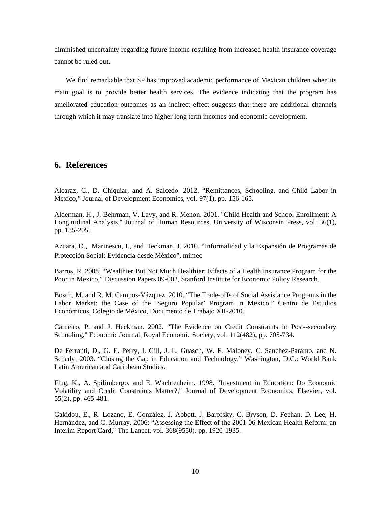diminished uncertainty regarding future income resulting from increased health insurance coverage cannot be ruled out.

We find remarkable that SP has improved academic performance of Mexican children when its main goal is to provide better health services. The evidence indicating that the program has ameliorated education outcomes as an indirect effect suggests that there are additional channels through which it may translate into higher long term incomes and economic development.

# **6. References**

Alcaraz, C., D. Chiquiar, and A. Salcedo. 2012. "Remittances, Schooling, and Child Labor in Mexico," Journal of Development Economics, vol. 97(1), pp. 156-165.

Alderman, H., J. Behrman, V. Lavy, and R. Menon. 2001. "Child Health and School Enrollment: A Longitudinal Analysis," Journal of Human Resources, University of Wisconsin Press, vol. 36(1), pp. 185-205.

Azuara, O., Marinescu, I., and Heckman, J. 2010. "Informalidad y la Expansión de Programas de Protección Social: Evidencia desde México", mimeo

Barros, R. 2008. "Wealthier But Not Much Healthier: Effects of a Health Insurance Program for the Poor in Mexico," Discussion Papers 09-002, Stanford Institute for Economic Policy Research.

Bosch, M. and R. M. Campos-Vázquez. 2010. "The Trade-offs of Social Assistance Programs in the Labor Market: the Case of the 'Seguro Popular' Program in Mexico." Centro de Estudios Económicos, Colegio de México, Documento de Trabajo XII-2010.

Carneiro, P. and J. Heckman. 2002. "The Evidence on Credit Constraints in Post--secondary Schooling," Economic Journal, Royal Economic Society, vol. 112(482), pp. 705-734.

De Ferranti, D., G. E. Perry, I. Gill, J. L. Guasch, W. F. Maloney, C. Sanchez-Paramo, and N. Schady. 2003. "Closing the Gap in Education and Technology," Washington, D.C.: World Bank Latin American and Caribbean Studies.

Flug, K., A. Spilimbergo, and E. Wachtenheim. 1998. "Investment in Education: Do Economic Volatility and Credit Constraints Matter?," Journal of Development Economics, Elsevier, vol. 55(2), pp. 465-481.

Gakidou, E., R. Lozano, E. González, J. Abbott, J. Barofsky, C. Bryson, D. Feehan, D. Lee, H. Hernández, and C. Murray. 2006: "Assessing the Effect of the 2001-06 Mexican Health Reform: an Interim Report Card," The Lancet, vol. 368(9550), pp. 1920-1935.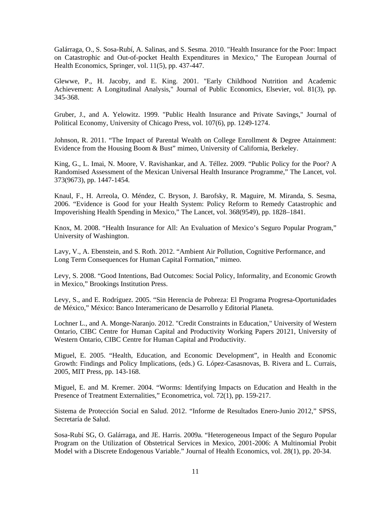Galárraga, O., S. Sosa-Rubí, A. Salinas, and S. Sesma. 2010. "Health Insurance for the Poor: Impact on Catastrophic and Out-of-pocket Health Expenditures in Mexico," The European Journal of Health Economics, Springer, vol. 11(5), pp. 437-447.

Glewwe, P., H. Jacoby, and E. King. 2001. "Early Childhood Nutrition and Academic Achievement: A Longitudinal Analysis," Journal of Public Economics, Elsevier, vol. 81(3), pp. 345-368.

Gruber, J., and A. Yelowitz. 1999. "Public Health Insurance and Private Savings," Journal of Political Economy, University of Chicago Press, vol. 107(6), pp. 1249-1274.

Johnson, R. 2011. "The Impact of Parental Wealth on College Enrollment & Degree Attainment: Evidence from the Housing Boom & Bust" mimeo, University of California, Berkeley.

King, G., L. Imai, N. Moore, V. Ravishankar, and A. Téllez. 2009. "Public Policy for the Poor? A Randomised Assessment of the Mexican Universal Health Insurance Programme," The Lancet, vol. 373(9673), pp. 1447-1454.

Knaul, F., H. Arreola, O. Méndez, C. Bryson, J. Barofsky, R. Maguire, M. Miranda, S. Sesma, 2006. "Evidence is Good for your Health System: Policy Reform to Remedy Catastrophic and Impoverishing Health Spending in Mexico," The Lancet, vol. 368(9549), pp. 1828–1841.

Knox, M. 2008. "Health Insurance for All: An Evaluation of Mexico's Seguro Popular Program," University of Washington.

Lavy, V., A. Ebenstein, and S. Roth. 2012. "Ambient Air Pollution, Cognitive Performance, and Long Term Consequences for Human Capital Formation," mimeo.

Levy, S. 2008. "Good Intentions, Bad Outcomes: Social Policy, Informality, and Economic Growth in Mexico," Brookings Institution Press.

Levy, S., and E. Rodríguez. 2005. "Sin Herencia de Pobreza: El Programa Progresa-Oportunidades de México," México: Banco Interamericano de Desarrollo y Editorial Planeta.

Lochner L., and A. Monge-Naranjo. 2012. "Credit Constraints in Education," University of Western Ontario, CIBC Centre for Human Capital and Productivity Working Papers 20121, University of Western Ontario, CIBC Centre for Human Capital and Productivity.

Miguel, E. 2005. "Health, Education, and Economic Development", in Health and Economic Growth: Findings and Policy Implications, (eds.) G. López-Casasnovas, B. Rivera and L. Currais, 2005, MIT Press, pp. 143-168.

Miguel, E. and M. Kremer. 2004. "Worms: Identifying Impacts on Education and Health in the Presence of Treatment Externalities," Econometrica, vol. 72(1), pp. 159-217.

Sistema de Protección Social en Salud. 2012. "Informe de Resultados Enero-Junio 2012," SPSS, Secretaría de Salud.

Sosa-Rubí SG, O. Galárraga, and JE. Harris. 2009a. "Heterogeneous Impact of the Seguro Popular Program on the Utilization of Obstetrical Services in Mexico, 2001-2006: A Multinomial Probit Model with a Discrete Endogenous Variable." Journal of Health Economics, vol. 28(1), pp. 20-34.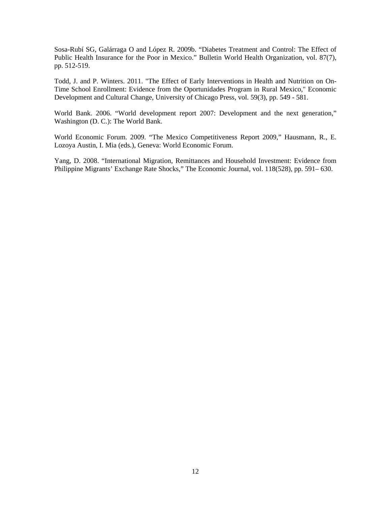Sosa-Rubí SG, Galárraga O and López R. 2009b. "Diabetes Treatment and Control: The Effect of Public Health Insurance for the Poor in Mexico." Bulletin World Health Organization, vol. 87(7), pp. 512-519.

Todd, J. and P. Winters. 2011. "The Effect of Early Interventions in Health and Nutrition on On-Time School Enrollment: Evidence from the Oportunidades Program in Rural Mexico," Economic Development and Cultural Change, University of Chicago Press, vol. 59(3), pp. 549 - 581.

World Bank. 2006. "World development report 2007: Development and the next generation," Washington (D. C.): The World Bank.

World Economic Forum. 2009. "The Mexico Competitiveness Report 2009," Hausmann, R., E. Lozoya Austin, I. Mia (eds.), Geneva: World Economic Forum.

Yang, D. 2008. "International Migration, Remittances and Household Investment: Evidence from Philippine Migrants' Exchange Rate Shocks," The Economic Journal, vol. 118(528), pp. 591– 630.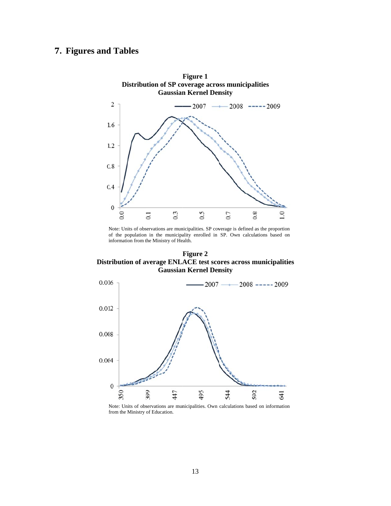# **7.** Figures and Tables



Note: Units of observations are municipalities. SP coverage is defined as the proportion of the population in the municipality enrolled in SP. Own calculations based on information from the Ministry of Health.

Distribution of average ENLACE test scores across municipalities **Gaussian Kernel Density Figure 2** 



Note: Units of observations are municipalities. Own calculations based on information f from the Ministry of Education.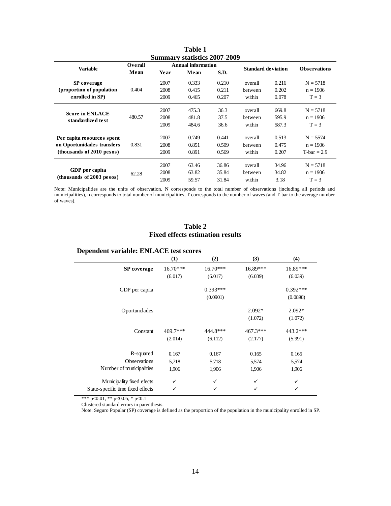| <b>Summary statistics 2007-2009</b>                       |         |                    |       |       |                           |       |                     |  |
|-----------------------------------------------------------|---------|--------------------|-------|-------|---------------------------|-------|---------------------|--|
| <b>Variable</b>                                           | Overall | Annual information |       |       | <b>Standard deviation</b> |       | <b>Observations</b> |  |
|                                                           | Mean    | Year               | Mean  | S.D.  |                           |       |                     |  |
| <b>SP</b> coverage                                        |         | 2007               | 0.333 | 0.210 | overall                   | 0.216 | $N = 5718$          |  |
| (proportion of population<br>enrolled in SP)              | 0.404   | 2008               | 0.415 | 0.211 | <b>between</b>            | 0.202 | $n = 1906$          |  |
|                                                           |         | 2009               | 0.465 | 0.207 | within                    | 0.078 | $T = 3$             |  |
| <b>Score in ENLACE</b><br>standardized test               |         | 2007               | 475.3 | 36.3  | overall                   | 669.8 | $N = 5718$          |  |
|                                                           | 480.57  | 2008               | 481.8 | 37.5  | between                   | 595.9 | $n = 1906$          |  |
|                                                           |         | 2009               | 484.6 | 36.6  | within                    | 587.3 | $T = 3$             |  |
| Per capita resources spent                                |         | 2007               | 0.749 | 0.441 | overall                   | 0.513 | $N = 5574$          |  |
| on Oportunidades transfers<br>$-thousands of 2010 pesos)$ | 0.831   | 2008               | 0.851 | 0.509 | between                   | 0.475 | $n = 1906$          |  |
|                                                           |         | 2009               | 0.891 | 0.569 | within                    | 0.207 | $T$ -bar = 2.9      |  |
| GDP per capita<br>(thousands of 2003 pesos)               |         | 2007               | 63.46 | 36.86 | overall                   | 34.96 | $N = 5718$          |  |
|                                                           | 62.28   | 2008               | 63.82 | 35.84 | between                   | 34.82 | $n = 1906$          |  |
|                                                           |         | 2009               | 59.57 | 31.84 | within                    | 3.18  | $T = 3$             |  |
|                                                           |         |                    |       |       |                           |       |                     |  |

**Table 1** 

Note: Municipalities are the units of observation. N corresponds to the total number of observations (including all periods and municipalities), n corresponds to total number of municipalities, T corresponds to the number of waves (and T-bar to the average number of waves).

#### **Table 2 Fixed effects estimation results**

### **Dependent variable: ENLACE test scores**

|                                   | (1)        | (2)        | (3)        | (4)        |
|-----------------------------------|------------|------------|------------|------------|
| <b>SP</b> coverage                | $16.70***$ | $16.70***$ | 16.89***   | 16.89***   |
|                                   | (6.017)    | (6.017)    | (6.039)    | (6.039)    |
| GDP per capita                    |            | $0.393***$ |            | $0.392***$ |
|                                   |            | (0.0901)   |            | (0.0898)   |
| Oportunidades                     |            |            | $2.092*$   | $2.092*$   |
|                                   |            |            | (1.072)    | (1.072)    |
| Constant                          | 469.7***   | 444.8***   | $467.3***$ | 443.2***   |
|                                   | (2.014)    | (6.112)    | (2.177)    | (5.991)    |
| R-squared                         | 0.167      | 0.167      | 0.165      | 0.165      |
| <b>Observations</b>               | 5,718      | 5,718      | 5,574      | 5,574      |
| Number of municipalities          | 1,906      | 1,906      | 1,906      | 1,906      |
| Municipality fixed efects         | ✓          | ✓          | ✓          | ✓          |
| State-specific time fixed effects | ✓          | ✓          | ✓          | ✓          |

\*\*\* p<0.01, \*\* p<0.05, \* p<0.1

Clustered standard errors in parenthesis.

Note: Seguro Popular (SP) coverage is defined as the proportion of the population in the municipality enrolled in SP.